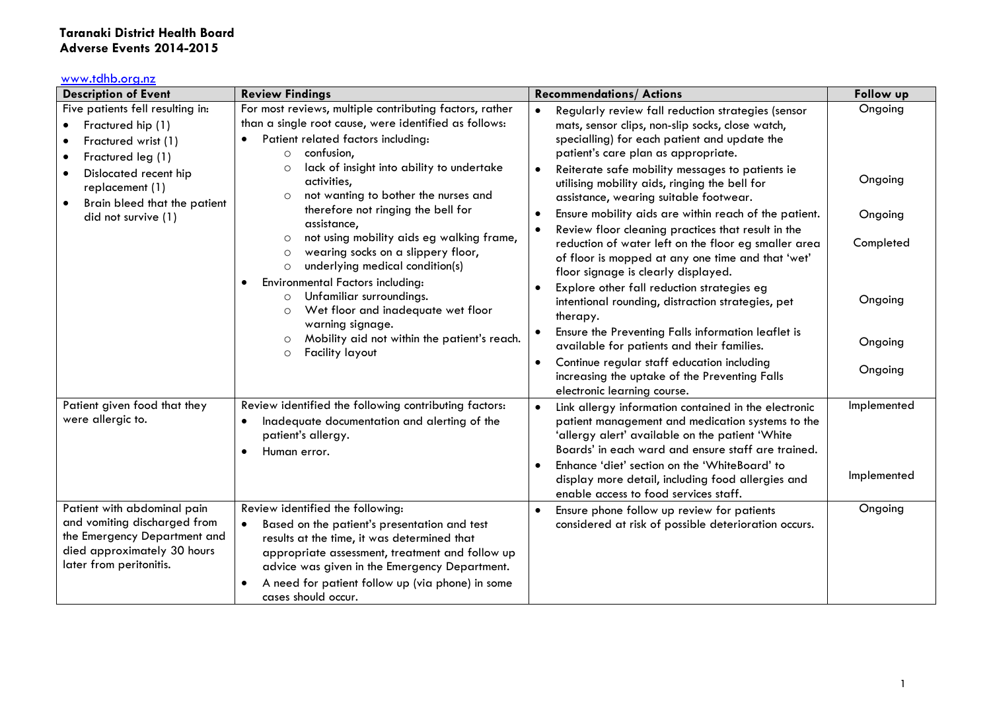## **Taranaki District Health Board Adverse Events 2014-2015**

## [www.tdhb.org.nz](http://www.tdhb.org.nz/)

| <b>Description of Event</b>                                                                                                                                                                                       | <b>Review Findings</b>                                                                                                                                                                                                                                                                                                                                                                                                                                                                                                                                                                                                                                                                                                                                                                    | <b>Recommendations/ Actions</b>                                                                                                                                                                                                                                                                                                                                                                                                                                                                                                                                                                                                                                                                                                                                                                                                                                                                                                  | Follow up                                                                   |
|-------------------------------------------------------------------------------------------------------------------------------------------------------------------------------------------------------------------|-------------------------------------------------------------------------------------------------------------------------------------------------------------------------------------------------------------------------------------------------------------------------------------------------------------------------------------------------------------------------------------------------------------------------------------------------------------------------------------------------------------------------------------------------------------------------------------------------------------------------------------------------------------------------------------------------------------------------------------------------------------------------------------------|----------------------------------------------------------------------------------------------------------------------------------------------------------------------------------------------------------------------------------------------------------------------------------------------------------------------------------------------------------------------------------------------------------------------------------------------------------------------------------------------------------------------------------------------------------------------------------------------------------------------------------------------------------------------------------------------------------------------------------------------------------------------------------------------------------------------------------------------------------------------------------------------------------------------------------|-----------------------------------------------------------------------------|
| Five patients fell resulting in:<br>Fractured hip (1)<br>Fractured wrist (1)<br>Fractured leg (1)<br>$\bullet$<br>Dislocated recent hip<br>replacement (1)<br>Brain bleed that the patient<br>did not survive (1) | For most reviews, multiple contributing factors, rather<br>than a single root cause, were identified as follows:<br>Patient related factors including:<br>confusion,<br>$\circ$<br>lack of insight into ability to undertake<br>$\circ$<br>activities,<br>not wanting to bother the nurses and<br>$\circ$<br>therefore not ringing the bell for<br>assistance,<br>not using mobility aids eg walking frame,<br>$\circ$<br>wearing socks on a slippery floor,<br>$\circ$<br>underlying medical condition(s)<br>$\circ$<br><b>Environmental Factors including:</b><br>$\bullet$<br>Unfamiliar surroundings.<br>$\circ$<br>Wet floor and inadequate wet floor<br>$\circ$<br>warning signage.<br>Mobility aid not within the patient's reach.<br>$\circ$<br><b>Facility layout</b><br>$\circ$ | Regularly review fall reduction strategies (sensor<br>mats, sensor clips, non-slip socks, close watch,<br>specialling) for each patient and update the<br>patient's care plan as appropriate.<br>Reiterate safe mobility messages to patients ie<br>utilising mobility aids, ringing the bell for<br>assistance, wearing suitable footwear.<br>Ensure mobility aids are within reach of the patient.<br>Review floor cleaning practices that result in the<br>reduction of water left on the floor eg smaller area<br>of floor is mopped at any one time and that 'wet'<br>floor signage is clearly displayed.<br>Explore other fall reduction strategies eg<br>intentional rounding, distraction strategies, pet<br>therapy.<br>Ensure the Preventing Falls information leaflet is<br>available for patients and their families.<br>Continue regular staff education including<br>increasing the uptake of the Preventing Falls | Ongoing<br>Ongoing<br>Ongoing<br>Completed<br>Ongoing<br>Ongoing<br>Ongoing |
| Patient given food that they<br>were allergic to.                                                                                                                                                                 | Review identified the following contributing factors:<br>Inadequate documentation and alerting of the<br>$\bullet$<br>patient's allergy.<br>Human error.                                                                                                                                                                                                                                                                                                                                                                                                                                                                                                                                                                                                                                  | electronic learning course.<br>Link allergy information contained in the electronic<br>$\bullet$<br>patient management and medication systems to the<br>'allergy alert' available on the patient 'White<br>Boards' in each ward and ensure staff are trained.<br>Enhance 'diet' section on the 'WhiteBoard' to<br>display more detail, including food allergies and<br>enable access to food services staff.                                                                                                                                                                                                                                                                                                                                                                                                                                                                                                                     | Implemented<br>Implemented                                                  |
| Patient with abdominal pain<br>and vomiting discharged from<br>the Emergency Department and<br>died approximately 30 hours<br>later from peritonitis.                                                             | Review identified the following:<br>Based on the patient's presentation and test<br>$\bullet$<br>results at the time, it was determined that<br>appropriate assessment, treatment and follow up<br>advice was given in the Emergency Department.<br>A need for patient follow up (via phone) in some<br>cases should occur.                                                                                                                                                                                                                                                                                                                                                                                                                                                               | Ensure phone follow up review for patients<br>considered at risk of possible deterioration occurs.                                                                                                                                                                                                                                                                                                                                                                                                                                                                                                                                                                                                                                                                                                                                                                                                                               | Ongoing                                                                     |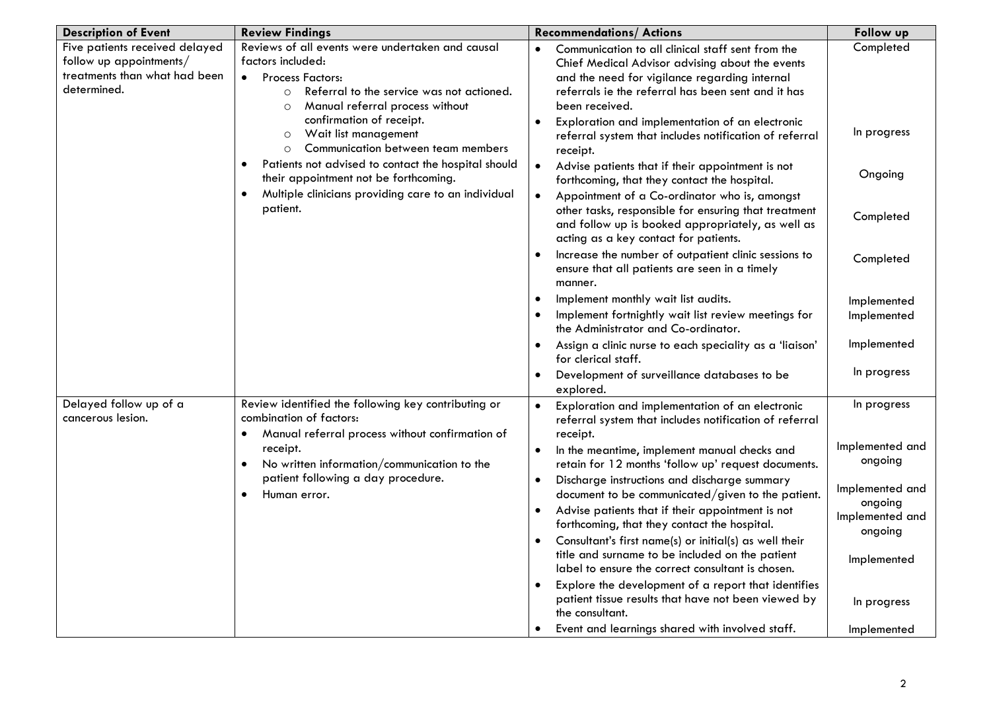| <b>Description of Event</b>                                                                               | <b>Review Findings</b>                                                                                                                                                                                                                                                                                                                                                                                                                                                                                                   | <b>Recommendations/ Actions</b>                                                                                                                                                                                               | Follow up                  |
|-----------------------------------------------------------------------------------------------------------|--------------------------------------------------------------------------------------------------------------------------------------------------------------------------------------------------------------------------------------------------------------------------------------------------------------------------------------------------------------------------------------------------------------------------------------------------------------------------------------------------------------------------|-------------------------------------------------------------------------------------------------------------------------------------------------------------------------------------------------------------------------------|----------------------------|
| Five patients received delayed<br>follow up appointments/<br>treatments than what had been<br>determined. | Reviews of all events were undertaken and causal<br>factors included:<br><b>Process Factors:</b><br>$\bullet$<br>Referral to the service was not actioned.<br>$\circ$<br>Manual referral process without<br>$\circ$<br>confirmation of receipt.<br>Wait list management<br>$\circ$<br>Communication between team members<br>$\circ$<br>Patients not advised to contact the hospital should<br>٠<br>their appointment not be forthcoming.<br>Multiple clinicians providing care to an individual<br>$\bullet$<br>patient. | Communication to all clinical staff sent from the<br>Chief Medical Advisor advising about the events<br>and the need for vigilance regarding internal<br>referrals ie the referral has been sent and it has<br>been received. | Completed                  |
|                                                                                                           |                                                                                                                                                                                                                                                                                                                                                                                                                                                                                                                          | Exploration and implementation of an electronic<br>referral system that includes notification of referral<br>receipt.                                                                                                         | In progress                |
|                                                                                                           |                                                                                                                                                                                                                                                                                                                                                                                                                                                                                                                          | Advise patients that if their appointment is not<br>$\bullet$<br>forthcoming, that they contact the hospital.                                                                                                                 | Ongoing                    |
|                                                                                                           |                                                                                                                                                                                                                                                                                                                                                                                                                                                                                                                          | Appointment of a Co-ordinator who is, amongst<br>other tasks, responsible for ensuring that treatment<br>and follow up is booked appropriately, as well as<br>acting as a key contact for patients.                           | Completed                  |
|                                                                                                           |                                                                                                                                                                                                                                                                                                                                                                                                                                                                                                                          | Increase the number of outpatient clinic sessions to<br>ensure that all patients are seen in a timely<br>manner.                                                                                                              | Completed                  |
|                                                                                                           |                                                                                                                                                                                                                                                                                                                                                                                                                                                                                                                          | Implement monthly wait list audits.<br>Implement fortnightly wait list review meetings for<br>the Administrator and Co-ordinator.                                                                                             | Implemented<br>Implemented |
|                                                                                                           |                                                                                                                                                                                                                                                                                                                                                                                                                                                                                                                          | Assign a clinic nurse to each speciality as a 'liaison'<br>for clerical staff.                                                                                                                                                | Implemented                |
|                                                                                                           |                                                                                                                                                                                                                                                                                                                                                                                                                                                                                                                          | Development of surveillance databases to be<br>explored.                                                                                                                                                                      | In progress                |
| Delayed follow up of a<br>cancerous lesion.                                                               | Review identified the following key contributing or<br>combination of factors:<br>Manual referral process without confirmation of<br>$\bullet$<br>receipt.<br>No written information/communication to the<br>$\bullet$<br>patient following a day procedure.<br>Human error.<br>$\bullet$                                                                                                                                                                                                                                | Exploration and implementation of an electronic<br>$\bullet$<br>referral system that includes notification of referral<br>receipt.                                                                                            | In progress                |
|                                                                                                           |                                                                                                                                                                                                                                                                                                                                                                                                                                                                                                                          | In the meantime, implement manual checks and<br>retain for 12 months 'follow up' request documents.                                                                                                                           | Implemented and<br>ongoing |
|                                                                                                           |                                                                                                                                                                                                                                                                                                                                                                                                                                                                                                                          | Discharge instructions and discharge summary<br>document to be communicated/given to the patient.                                                                                                                             | Implemented and<br>ongoing |
|                                                                                                           |                                                                                                                                                                                                                                                                                                                                                                                                                                                                                                                          | Advise patients that if their appointment is not<br>forthcoming, that they contact the hospital.<br>Consultant's first name(s) or initial(s) as well their                                                                    | Implemented and<br>ongoing |
|                                                                                                           |                                                                                                                                                                                                                                                                                                                                                                                                                                                                                                                          | title and surname to be included on the patient<br>label to ensure the correct consultant is chosen.                                                                                                                          | Implemented                |
|                                                                                                           |                                                                                                                                                                                                                                                                                                                                                                                                                                                                                                                          | Explore the development of a report that identifies<br>patient tissue results that have not been viewed by<br>the consultant.                                                                                                 | In progress                |
|                                                                                                           |                                                                                                                                                                                                                                                                                                                                                                                                                                                                                                                          | Event and learnings shared with involved staff.                                                                                                                                                                               | Implemented                |